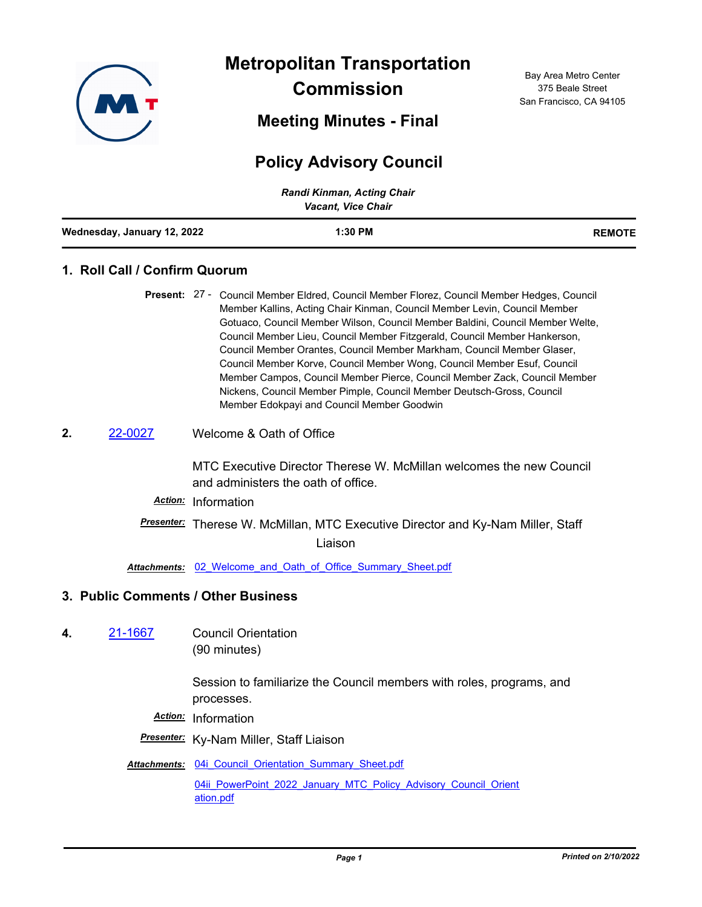

**Metropolitan Transportation Commission**

**Meeting Minutes - Final**

# **Policy Advisory Council**

| Randi Kinman, Acting Chair<br><b>Vacant, Vice Chair</b> |           |               |
|---------------------------------------------------------|-----------|---------------|
| Wednesday, January 12, 2022                             | $1:30$ PM | <b>REMOTE</b> |

## **1. Roll Call / Confirm Quorum**

- Present: 27 Council Member Eldred, Council Member Florez, Council Member Hedges, Council Member Kallins, Acting Chair Kinman, Council Member Levin, Council Member Gotuaco, Council Member Wilson, Council Member Baldini, Council Member Welte, Council Member Lieu, Council Member Fitzgerald, Council Member Hankerson, Council Member Orantes, Council Member Markham, Council Member Glaser, Council Member Korve, Council Member Wong, Council Member Esuf, Council Member Campos, Council Member Pierce, Council Member Zack, Council Member Nickens, Council Member Pimple, Council Member Deutsch-Gross, Council Member Edokpayi and Council Member Goodwin
- **2.** [22-0027](http://mtc.legistar.com/gateway.aspx?m=l&id=/matter.aspx?key=23286) Welcome & Oath of Office

MTC Executive Director Therese W. McMillan welcomes the new Council and administers the oath of office.

- *Action:* Information
- *Presenter:* Therese W. McMillan, MTC Executive Director and Ky-Nam Miller, Staff

Liaison

Attachments: 02 Welcome and Oath of Office Summary Sheet.pdf

#### **3. Public Comments / Other Business**

**4.** [21-1667](http://mtc.legistar.com/gateway.aspx?m=l&id=/matter.aspx?key=23260) Council Orientation (90 minutes)

> Session to familiarize the Council members with roles, programs, and processes.

- *Action:* Information
- *Presenter:* Ky-Nam Miller, Staff Liaison
- Attachments: 04i Council Orientation Summary Sheet.pdf [04ii\\_PowerPoint\\_2022\\_January\\_MTC\\_Policy\\_Advisory\\_Council\\_Orient](http://mtc.legistar.com/gateway.aspx?M=F&ID=7f4f8896-8a2a-462b-9432-4f9b3f5c985a.pdf) ation.pdf

Bay Area Metro Center 375 Beale Street San Francisco, CA 94105